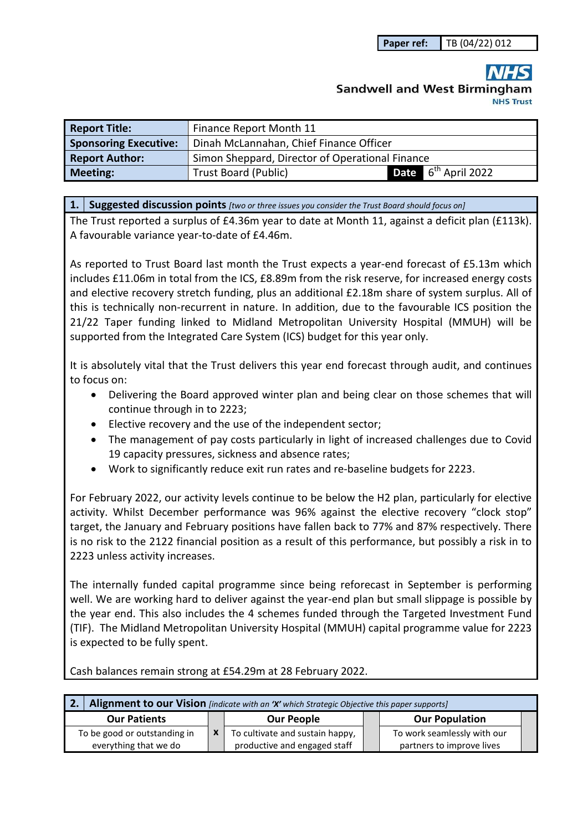## **Sandwell and West Birmingham NHS Trust**

| <b>Report Title:</b>         | Finance Report Month 11                                        |  |
|------------------------------|----------------------------------------------------------------|--|
| <b>Sponsoring Executive:</b> | Dinah McLannahan, Chief Finance Officer                        |  |
| <b>Report Author:</b>        | Simon Sheppard, Director of Operational Finance                |  |
| <b>Meeting:</b>              | <b>Date</b> $6^{th}$ April 2022<br><b>Trust Board (Public)</b> |  |

**1. Suggested discussion points** *[two or three issues you consider the Trust Board should focus on]* 

The Trust reported a surplus of £4.36m year to date at Month 11, against a deficit plan (£113k). A favourable variance year-to-date of £4.46m.

As reported to Trust Board last month the Trust expects a year-end forecast of £5.13m which includes £11.06m in total from the ICS, £8.89m from the risk reserve, for increased energy costs and elective recovery stretch funding, plus an additional £2.18m share of system surplus. All of this is technically non-recurrent in nature. In addition, due to the favourable ICS position the 21/22 Taper funding linked to Midland Metropolitan University Hospital (MMUH) will be supported from the Integrated Care System (ICS) budget for this year only.

It is absolutely vital that the Trust delivers this year end forecast through audit, and continues to focus on:

- Delivering the Board approved winter plan and being clear on those schemes that will continue through in to 2223;
- Elective recovery and the use of the independent sector;
- The management of pay costs particularly in light of increased challenges due to Covid 19 capacity pressures, sickness and absence rates;
- Work to significantly reduce exit run rates and re-baseline budgets for 2223.

For February 2022, our activity levels continue to be below the H2 plan, particularly for elective activity. Whilst December performance was 96% against the elective recovery "clock stop" target, the January and February positions have fallen back to 77% and 87% respectively. There is no risk to the 2122 financial position as a result of this performance, but possibly a risk in to 2223 unless activity increases.

The internally funded capital programme since being reforecast in September is performing well. We are working hard to deliver against the year-end plan but small slippage is possible by the year end. This also includes the 4 schemes funded through the Targeted Investment Fund (TIF). The Midland Metropolitan University Hospital (MMUH) capital programme value for 2223 is expected to be fully spent.

**2. Alignment to our Vision** *[indicate with an 'X' which Strategic Objective this paper supports]*  **Our Patients x Our People Our Population** To be good or outstanding in everything that we do To cultivate and sustain happy, productive and engaged staff To work seamlessly with our partners to improve lives

Cash balances remain strong at £54.29m at 28 February 2022.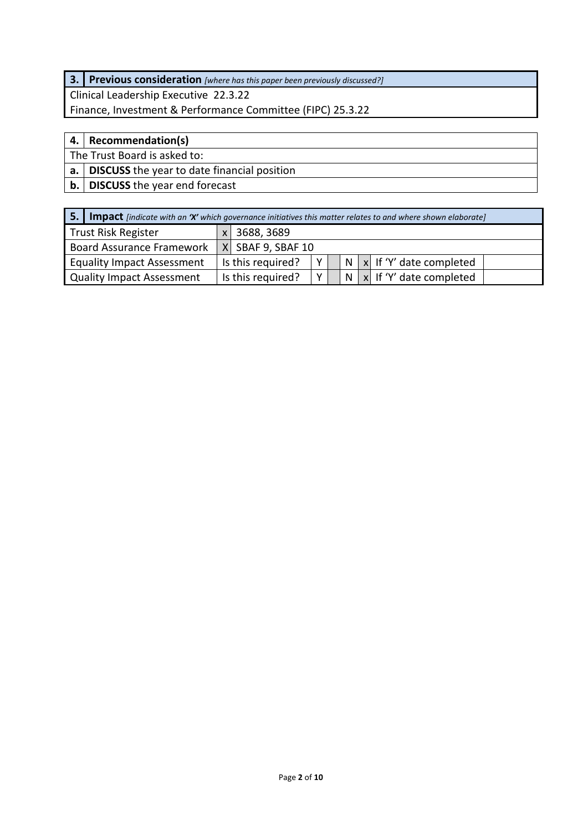### **3. Previous consideration** *[where has this paper been previously discussed?]*

Clinical Leadership Executive 22.3.22 Finance, Investment & Performance Committee (FIPC) 25.3.22

#### **4. Recommendation(s)**

The Trust Board is asked to:

**a. DISCUSS** the year to date financial position

**b. DISCUSS** the year end forecast

| 5.1                               | <b>Impact</b> [indicate with an 'X' which governance initiatives this matter relates to and where shown elaborate] |                   |   |  |   |  |                                       |  |  |  |  |  |  |
|-----------------------------------|--------------------------------------------------------------------------------------------------------------------|-------------------|---|--|---|--|---------------------------------------|--|--|--|--|--|--|
| <b>Trust Risk Register</b>        |                                                                                                                    | 3688, 3689        |   |  |   |  |                                       |  |  |  |  |  |  |
| <b>Board Assurance Framework</b>  |                                                                                                                    | X SBAF 9, SBAF 10 |   |  |   |  |                                       |  |  |  |  |  |  |
| <b>Equality Impact Assessment</b> |                                                                                                                    | Is this required? | Y |  | N |  | $\vert x \vert$ If 'Y' date completed |  |  |  |  |  |  |
| <b>Quality Impact Assessment</b>  |                                                                                                                    | Is this required? | Y |  |   |  | $N   x  $ If 'Y' date completed       |  |  |  |  |  |  |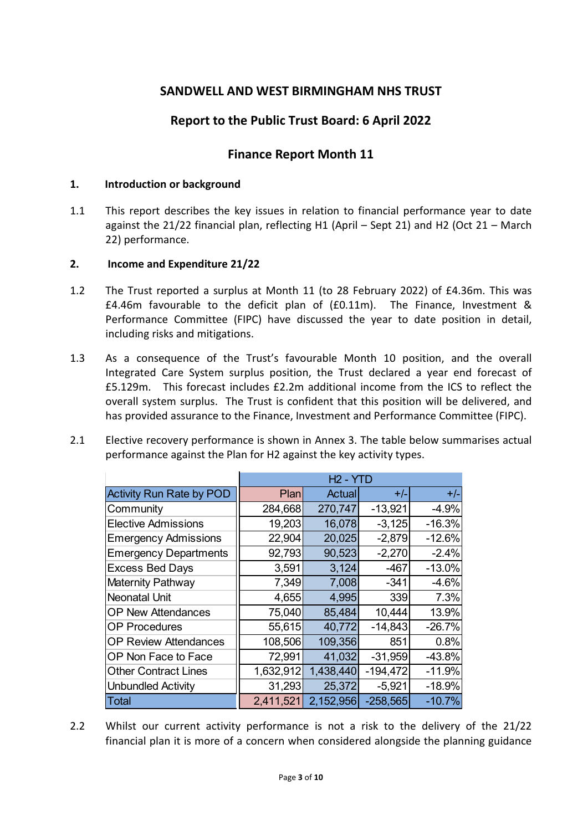#### **SANDWELL AND WEST BIRMINGHAM NHS TRUST**

#### **Report to the Public Trust Board: 6 April 2022**

#### **Finance Report Month 11**

#### **1. Introduction or background**

1.1 This report describes the key issues in relation to financial performance year to date against the 21/22 financial plan, reflecting H1 (April – Sept 21) and H2 (Oct 21 – March 22) performance.

#### **2. Income and Expenditure 21/22**

- 1.2 The Trust reported a surplus at Month 11 (to 28 February 2022) of £4.36m. This was £4.46m favourable to the deficit plan of (£0.11m). The Finance, Investment & Performance Committee (FIPC) have discussed the year to date position in detail, including risks and mitigations.
- 1.3 As a consequence of the Trust's favourable Month 10 position, and the overall Integrated Care System surplus position, the Trust declared a year end forecast of £5.129m. This forecast includes £2.2m additional income from the ICS to reflect the overall system surplus. The Trust is confident that this position will be delivered, and has provided assurance to the Finance, Investment and Performance Committee (FIPC).
- 2.1 Elective recovery performance is shown in Annex 3. The table below summarises actual performance against the Plan for H2 against the key activity types.

|                                 |           | $H2 - YTD$ |            |          |
|---------------------------------|-----------|------------|------------|----------|
| <b>Activity Run Rate by POD</b> | Plan      | Actual     | $+/-$      | $+/-$    |
| Community                       | 284,668   | 270,747    | $-13,921$  | $-4.9%$  |
| <b>Elective Admissions</b>      | 19,203    | 16,078     | $-3,125$   | $-16.3%$ |
| <b>Emergency Admissions</b>     | 22,904    | 20,025     | $-2,879$   | $-12.6%$ |
| <b>Emergency Departments</b>    | 92,793    | 90,523     | $-2,270$   | $-2.4%$  |
| <b>Excess Bed Days</b>          | 3,591     | 3,124      | $-467$     | $-13.0%$ |
| Maternity Pathway               | 7,349     | 7,008      | $-341$     | $-4.6%$  |
| <b>Neonatal Unit</b>            | 4,655     | 4,995      | 339        | 7.3%     |
| <b>OP New Attendances</b>       | 75,040    | 85,484     | 10,444     | 13.9%    |
| <b>OP Procedures</b>            | 55,615    | 40,772     | $-14,843$  | $-26.7%$ |
| <b>OP Review Attendances</b>    | 108,506   | 109,356    | 851        | 0.8%     |
| OP Non Face to Face             | 72,991    | 41,032     | $-31,959$  | $-43.8%$ |
| <b>Other Contract Lines</b>     | 1,632,912 | 1,438,440  | $-194,472$ | $-11.9%$ |
| <b>Unbundled Activity</b>       | 31,293    | 25,372     | $-5,921$   | $-18.9%$ |
| <b>Total</b>                    | 2,411,521 | 2,152,956  | $-258,565$ | $-10.7%$ |

2.2 Whilst our current activity performance is not a risk to the delivery of the 21/22 financial plan it is more of a concern when considered alongside the planning guidance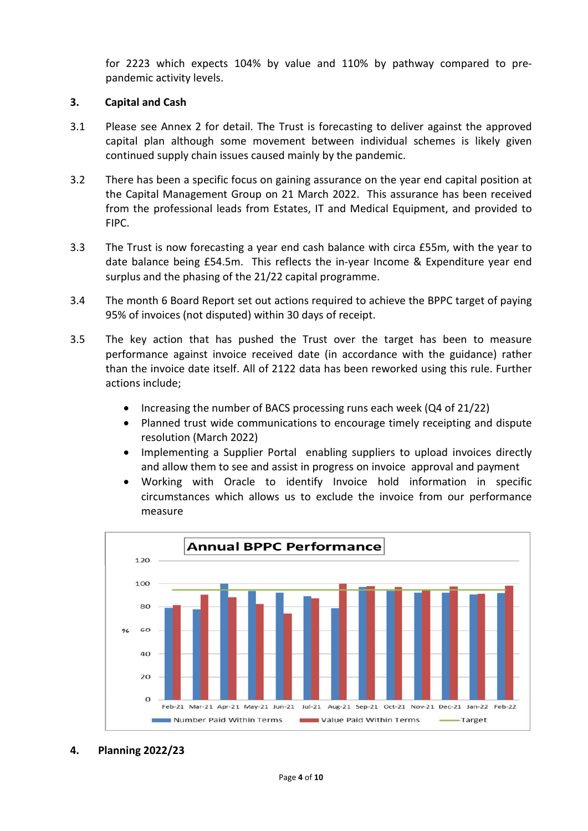for 2223 which expects 104% by value and 110% by pathway compared to prepandemic activity levels.

#### **3. Capital and Cash**

- 3.1 Please see Annex 2 for detail. The Trust is forecasting to deliver against the approved capital plan although some movement between individual schemes is likely given continued supply chain issues caused mainly by the pandemic.
- 3.2 There has been a specific focus on gaining assurance on the year end capital position at the Capital Management Group on 21 March 2022. This assurance has been received from the professional leads from Estates, IT and Medical Equipment, and provided to FIPC.
- 3.3 The Trust is now forecasting a year end cash balance with circa £55m, with the year to date balance being £54.5m. This reflects the in-year Income & Expenditure year end surplus and the phasing of the 21/22 capital programme.
- 3.4 The month 6 Board Report set out actions required to achieve the BPPC target of paying 95% of invoices (not disputed) within 30 days of receipt.
- 3.5 The key action that has pushed the Trust over the target has been to measure performance against invoice received date (in accordance with the guidance) rather than the invoice date itself. All of 2122 data has been reworked using this rule. Further actions include;
	- $\bullet$  Increasing the number of BACS processing runs each week (Q4 of 21/22)
	- Planned trust wide communications to encourage timely receipting and dispute resolution (March 2022)
	- Implementing a Supplier Portal enabling suppliers to upload invoices directly and allow them to see and assist in progress on invoice approval and payment
	- Working with Oracle to identify Invoice hold information in specific circumstances which allows us to exclude the invoice from our performance measure



**4. Planning 2022/23**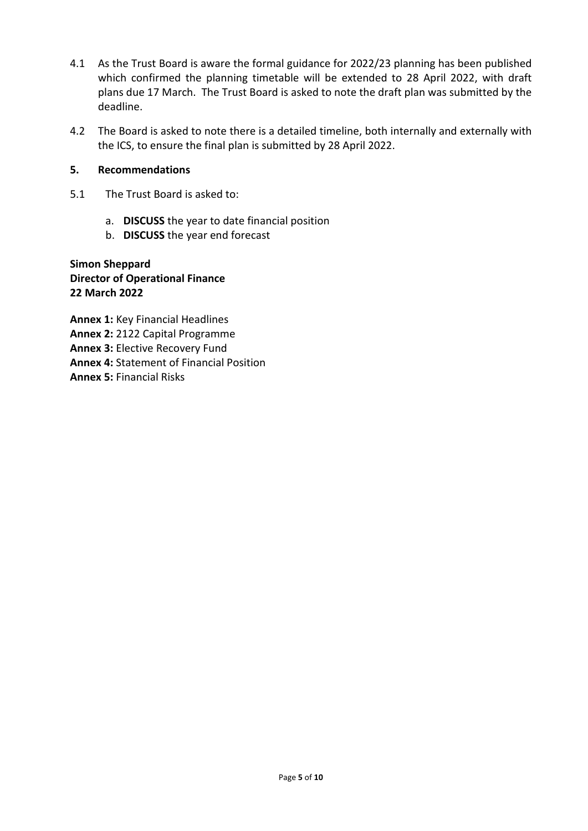- 4.1 As the Trust Board is aware the formal guidance for 2022/23 planning has been published which confirmed the planning timetable will be extended to 28 April 2022, with draft plans due 17 March. The Trust Board is asked to note the draft plan was submitted by the deadline.
- 4.2 The Board is asked to note there is a detailed timeline, both internally and externally with the ICS, to ensure the final plan is submitted by 28 April 2022.

#### **5. Recommendations**

- 5.1 The Trust Board is asked to:
	- a. **DISCUSS** the year to date financial position
	- b. **DISCUSS** the year end forecast

**Simon Sheppard Director of Operational Finance 22 March 2022** 

**Annex 1:** Key Financial Headlines **Annex 2:** 2122 Capital Programme **Annex 3:** Elective Recovery Fund **Annex 4:** Statement of Financial Position **Annex 5:** Financial Risks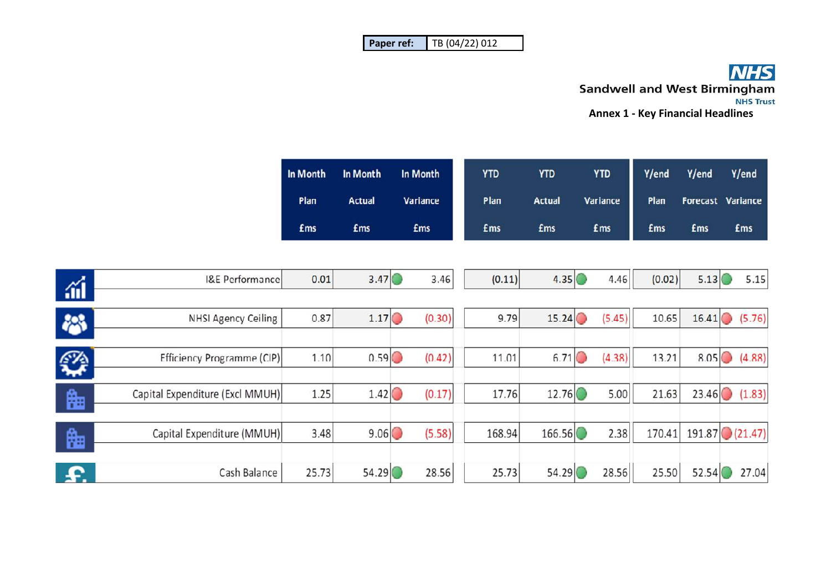| l Paper ref: | TB (04/22) 012 |
|--------------|----------------|
|--------------|----------------|

# **ANHS**<br>Sandwell and West Birmingham<br>Annex 1 - Key Financial Headlines

| In Month   | In Month      | In Month   | <b>YTD</b>  | <b>YTD</b>    | <b>YTD</b> | Y/end      | Y/end      | Y/end                    |
|------------|---------------|------------|-------------|---------------|------------|------------|------------|--------------------------|
| Plan       | <b>Actual</b> | Variance   | Plan        | <b>Actual</b> | Variance   | Plan       |            | <b>Forecast Variance</b> |
| <b>£ms</b> | <b>£ms</b>    | <b>£ms</b> | <b>f</b> ms | <b>£ms</b>    | <b>£ms</b> | <b>£ms</b> | <b>£ms</b> | <b>£ms</b>               |

| áÍ        | <b>I&amp;E Performance</b>      | 0.01  | 3.47  | 3.46   | (0.11) | 4.35   | 4.46   | (0.02) | 5.13             | 5.15           |
|-----------|---------------------------------|-------|-------|--------|--------|--------|--------|--------|------------------|----------------|
|           |                                 |       |       |        |        |        |        |        |                  |                |
| 絲         | <b>NHSI Agency Ceiling</b>      | 0.87  | 1.17  | (0.30) | 9.79   | 15.24  | (5.45) | 10.65  |                  | $16.41$ (5.76) |
|           |                                 |       |       |        |        |        |        |        |                  |                |
| ✿         | Efficiency Programme (CIP)      | 1.10  | 0.59  | (0.42) | 11.01  | 6.71   | (4.38) | 13.21  | 8.05             | (4.88)         |
|           |                                 |       |       |        |        |        |        |        |                  |                |
| 晦         | Capital Expenditure (Excl MMUH) | 1.25  | 1.42  | (0.17) | 17.76  | 12.76  | 5.00   | 21.63  |                  | $23.46$ (1.83) |
|           |                                 |       |       |        |        |        |        |        |                  |                |
| 晦         | Capital Expenditure (MMUH)      | 3.48  | 9.06  | (5.58) | 168.94 | 166.56 | 2.38   | 170.41 | $191.87$ (21.47) |                |
|           |                                 |       |       |        |        |        |        |        |                  |                |
| <b>P.</b> | Cash Balance                    | 25.73 | 54.29 | 28.56  | 25.73  | 54.29  | 28.56  | 25.50  | 52.54            | 27.04          |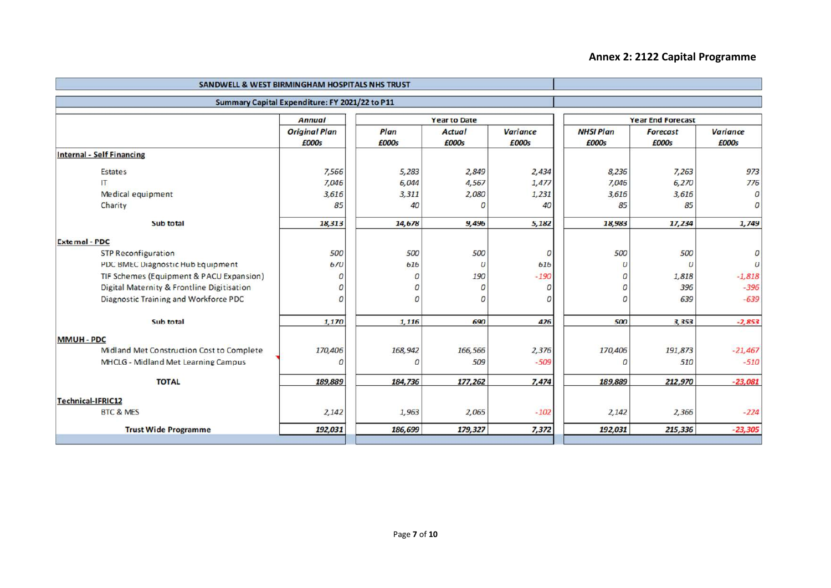#### **Annex 2: 2122 Capital Programme**

| SANDWELL & WEST BIRMINGHAM HOSPITALS NHS TRUST |                                                |                |                     |                          |                  |                  |                |  |
|------------------------------------------------|------------------------------------------------|----------------|---------------------|--------------------------|------------------|------------------|----------------|--|
|                                                | Summary Capital Expenditure: FY 2021/22 to P11 |                |                     |                          |                  |                  |                |  |
|                                                | <b>Annual</b>                                  |                | <b>Year to Date</b> | <b>Year End Forecast</b> |                  |                  |                |  |
|                                                | <b>Original Plan</b>                           | Plan           | <b>Actual</b>       | <b>Variance</b>          | <b>NHSI Plan</b> | <b>Forecast</b>  | Variance       |  |
|                                                | £000s                                          | £000s          | £000s               | £000s                    | £000s            | £000s            | £000s          |  |
| <b>Internal - Self Financing</b>               |                                                |                |                     |                          |                  |                  |                |  |
| <b>Estates</b>                                 | 7,566                                          | 5,283          | 2,849               | 2,434                    | 8,236            | 7,263            | 973            |  |
| $\mathsf{H}$                                   | 7,046                                          | 6,044          | 4,567               | 1,477                    | 7,046            | 6,270            | 776            |  |
| Medical equipment                              | 3,616                                          | 3,311          | 2,080               | 1,231                    | 3,616            | 3,616            | 0              |  |
| Charity                                        | 85                                             | 40             | 0                   | 40                       | 85               | 85               | $\overline{O}$ |  |
| Sub total                                      | 18,313                                         | 14,678         | 9,496               | 5,182                    | 18,983           | 17,234           | 1,749          |  |
| <b>External - PDC</b>                          |                                                |                |                     |                          |                  |                  |                |  |
| <b>STP Reconfiguration</b>                     | 500                                            | 500            | 500                 | $\overline{O}$           | 500              | 500              |                |  |
| PDC BMEC Diagnostic Hub Equipment              | 670                                            | 616            | $\boldsymbol{O}$    | 616                      | $\boldsymbol{0}$ | $\boldsymbol{O}$ |                |  |
| TIF Schemes (Equipment & PACU Expansion)       | $\overline{O}$                                 | 0              | 190                 | $-190$                   | $\overline{O}$   | 1,818            | $-1,818$       |  |
| Digital Maternity & Frontline Digitisation     | 0                                              | 0              | 0                   | 0                        | 0                | 396              | $-396$         |  |
| Diagnostic Training and Workforce PDC          | $\overline{O}$                                 | $\overline{O}$ | $\overline{O}$      | $\overline{O}$           | $\mathcal{O}$    | 639              | $-639$         |  |
| Sub total                                      | 1,170                                          | 1,116          | 690                 | 426                      | 500              | 3,353            | $-2,853$       |  |
| <b>MMUH - PDC</b>                              |                                                |                |                     |                          |                  |                  |                |  |
| Midland Met Construction Cost to Complete      | 170,406                                        | 168,942        | 166,566             | 2,376                    | 170,406          | 191,873          | $-21,467$      |  |
| MHCLG - Midland Met Learning Campus            | $\Omega$                                       | $\Omega$       | 509                 | $-509$                   | $\Omega$         | 510              | $-510$         |  |
| <b>TOTAL</b>                                   | 189,889                                        | 184,736        | 177,262             | 7,474                    | 189,889          | 212,970          | $-23,081$      |  |
| <b>Technical-IFRIC12</b>                       |                                                |                |                     |                          |                  |                  |                |  |
| <b>BTC &amp; MES</b>                           | 2,142                                          | 1,963          | 2,065               | $-102$                   | 2,142            | 2,366            | $-224$         |  |
| <b>Trust Wide Programme</b>                    | 192,031                                        | 186,699        | 179,327             | 7,372                    | 192,031          | 215,336          | $-23,305$      |  |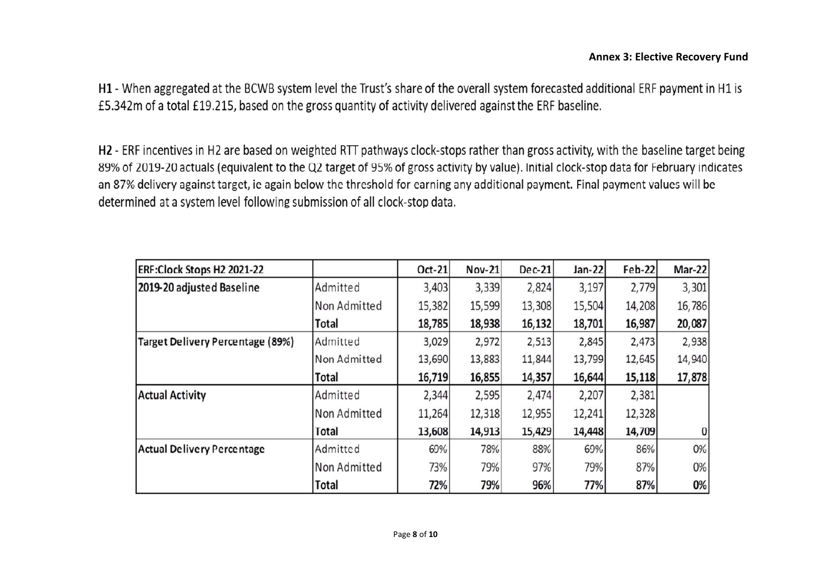H1 - When aggregated at the BCWB system level the Trust's share of the overall system forecasted additional ERF payment in H1 is £5.342m of a total £19.215, based on the gross quantity of activity delivered against the ERF baseline.

H2 - ERF incentives in H2 are based on weighted RTT pathways clock-stops rather than gross activity, with the baseline target being 89% of 2019-20 actuals (equivalent to the Q2 target of 95% of gross activity by value). Initial clock-stop data for February indicates an 87% delivery against target, ie again below the threshold for earning any additional payment. Final payment values will be determined at a system level following submission of all clock-stop data.

| ERF:Clock Stops H2 2021-22              |              | Oct-21 | Nov-21 | Dec-21 | Jan-22 | Feb-22 | Mar-22 |
|-----------------------------------------|--------------|--------|--------|--------|--------|--------|--------|
| 2019-20 adjusted Baseline               | Admitted     | 3,403  | 3,339  | 2,824  | 3,197  | 2,779  | 3,301  |
|                                         | Non Admitted | 15,382 | 15,599 | 13,308 | 15,504 | 14,208 | 16,786 |
|                                         | Total        | 18,785 | 18,938 | 16,132 | 18,701 | 16,987 | 20,087 |
| <b>Target Delivery Percentage (89%)</b> | Admitted     | 3,029  | 2,972  | 2,513  | 2,845  | 2,473  | 2,938  |
|                                         | Non Admitted | 13,690 | 13,883 | 11,844 | 13,799 | 12,645 | 14,940 |
|                                         | Total        | 16,719 | 16,855 | 14,357 | 16,644 | 15,118 | 17,878 |
| <b>Actual Activity</b>                  | Admitted     | 2,344  | 2,595  | 2,474  | 2,207  | 2,381  |        |
|                                         | Non Admitted | 11,264 | 12,318 | 12,955 | 12,241 | 12,328 |        |
|                                         | Total        | 13,608 | 14,913 | 15,429 | 14,448 | 14,709 | 0      |
| <b>Actual Delivery Percentage</b>       | Admitted     | 69%    | 78%    | 88%    | 69%    | 86%    | 0%     |
|                                         | Non Admitted | 73%    | 79%    | 97%    | 79%    | 87%    | 0%     |
|                                         | Total        | 72%    | 79%    | 96%    | 77%    | 87%    | 0%     |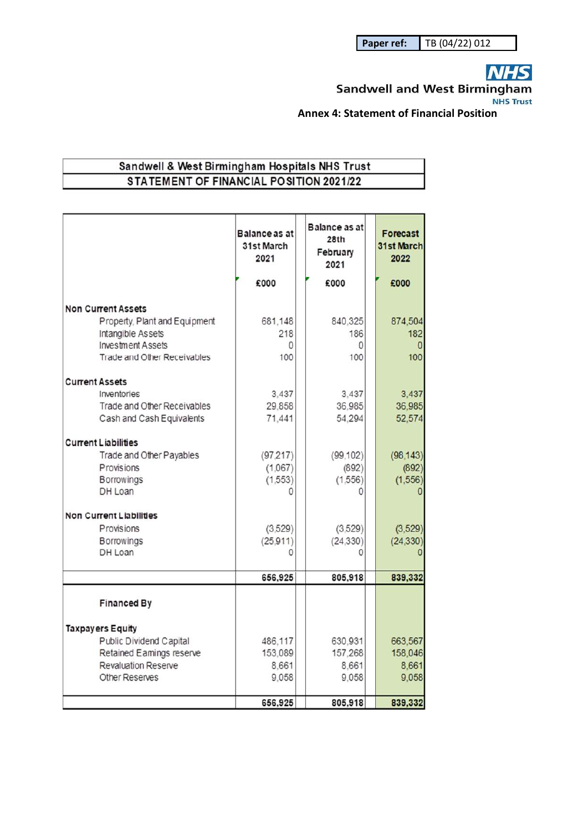**NHS** 

**Sandwell and West Birmingham NHS Trust** 

**Annex 4: Statement of Financial Position** 

#### Sandwell & West Birmingham Hospitals NHS Trust STATEMENT OF FINANCIAL POSITION 2021/22

|                                | <b>Balance as at</b><br>31st March<br>2021 | Balance as at<br>28th<br>February<br>2021 | Forecast<br><b>31st March</b><br>2022 |
|--------------------------------|--------------------------------------------|-------------------------------------------|---------------------------------------|
|                                | £000                                       | £000                                      | £000                                  |
| <b>Non Current Assets</b>      |                                            |                                           |                                       |
| Property, Plant and Equipment  | 681,148                                    | 840,325                                   | 874,504                               |
| Intangible Assets              | 218                                        | 186                                       | 182                                   |
| <b>Investment Assets</b>       | 0                                          | 0                                         | n                                     |
| Trade and Other Receivables    | 100                                        | 100                                       | 100                                   |
| <b>Current Assets</b>          |                                            |                                           |                                       |
| Inventories                    | 3.437                                      | 3.437                                     | 3,437                                 |
| Trade and Other Receivables    | 29.858                                     | 36,985                                    | 36,985                                |
| Cash and Cash Equivalents      | 71,441                                     | 54,294                                    | 52,574                                |
| <b>Current Liabilities</b>     |                                            |                                           |                                       |
| Trade and Other Payables       | (97.217)                                   | (99.102)                                  | (98, 143)                             |
| Provisions                     | (1.067)                                    | (892)                                     | (892)                                 |
| <b>Borrowings</b>              | (1,553)                                    | (1,556)                                   | (1.556)                               |
| DH Loan                        |                                            | O                                         |                                       |
| <b>Non Current Liabilities</b> |                                            |                                           |                                       |
| Provisions                     | (3.529)                                    | (3.529)                                   | (3, 529)                              |
| Borrowings                     | (25.911)                                   | (24, 330)                                 | (24, 330)                             |
| DH Loan                        |                                            |                                           |                                       |
|                                | 656,925                                    | 805,918                                   | 839,332                               |
|                                |                                            |                                           |                                       |
| <b>Financed By</b>             |                                            |                                           |                                       |
| <b>Taxpayers Equity</b>        |                                            |                                           |                                       |
| Public Dividend Capital        | 486.117                                    | 630,931                                   | 663,567                               |
| Retained Eamings reserve       | 153,089                                    | 157,268                                   | 158,046                               |
| <b>Revaluation Reserve</b>     | 8.661                                      | 8,661                                     | 8,661                                 |
| Other Reserves                 | 9.058                                      | 9,058                                     | 9,058                                 |
|                                | 656,925                                    | 805,918                                   | 839,332                               |